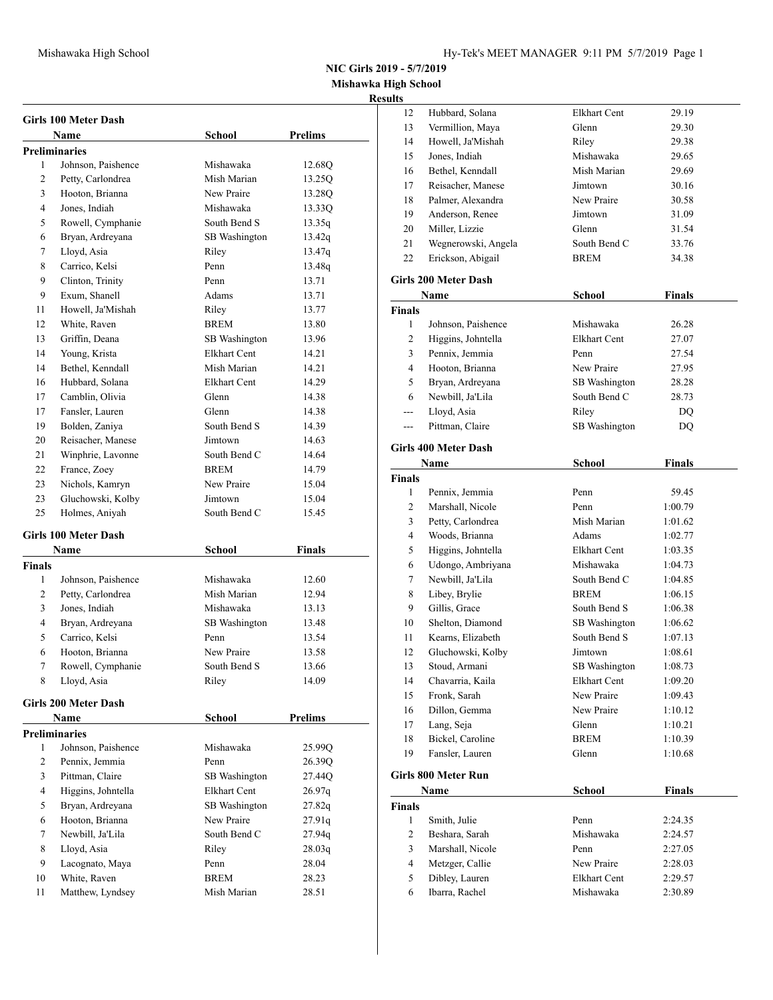**Mishawka High School Resul** 

|                | Girls 100 Meter Dash        |                     |                |
|----------------|-----------------------------|---------------------|----------------|
|                | <b>Name</b>                 | <b>School</b>       | <b>Prelims</b> |
|                | <b>Preliminaries</b>        |                     |                |
| 1              | Johnson, Paishence          | Mishawaka           | 12.68Q         |
| 2              | Petty, Carlondrea           | Mish Marian         | 13.25Q         |
| 3              | Hooton, Brianna             | New Praire          | 13.28Q         |
| $\overline{4}$ | Jones, Indiah               | Mishawaka           | 13.33Q         |
| 5              | Rowell, Cymphanie           | South Bend S        | 13.35q         |
| 6              | Bryan, Ardreyana            | SB Washington       | 13.42q         |
| 7              | Lloyd, Asia                 | Riley               | 13.47q         |
| 8              | Carrico, Kelsi              | Penn                | 13.48q         |
| 9              | Clinton, Trinity            | Penn                | 13.71          |
| 9              | Exum, Shanell               | Adams               | 13.71          |
| 11             | Howell, Ja'Mishah           | Riley               | 13.77          |
| 12             | White, Raven                | <b>BREM</b>         | 13.80          |
| 13             | Griffin, Deana              | SB Washington       | 13.96          |
| 14             | Young, Krista               | Elkhart Cent        | 14.21          |
| 14             | Bethel, Kenndall            | Mish Marian         | 14.21          |
| 16             | Hubbard, Solana             | Elkhart Cent        | 14.29          |
| 17             | Camblin, Olivia             | Glenn               | 14.38          |
| 17             | Fansler, Lauren             | Glenn               | 14.38          |
| 19             | Bolden, Zaniya              | South Bend S        | 14.39          |
| 20             | Reisacher, Manese           | Jimtown             | 14.63          |
| 21             | Winphrie, Lavonne           | South Bend C        | 14.64          |
| 22             | France, Zoey                | <b>BREM</b>         | 14.79          |
| 23             | Nichols, Kamryn             | New Praire          | 15.04          |
| 23             | Gluchowski, Kolby           | Jimtown             | 15.04          |
| 25             | Holmes, Aniyah              | South Bend C        | 15.45          |
|                |                             |                     |                |
|                | <b>Girls 100 Meter Dash</b> |                     |                |
|                | Name                        | <b>School</b>       | <b>Finals</b>  |
| Finals         |                             |                     |                |
| 1              | Johnson, Paishence          | Mishawaka           | 12.60          |
| 2              | Petty, Carlondrea           | Mish Marian         | 12.94          |
| 3              | Jones, Indiah               | Mishawaka           | 13.13          |
| $\overline{4}$ | Bryan, Ardreyana            | SB Washington       | 13.48          |
| 5              | Carrico, Kelsi              | Penn                | 13.54          |
| 6              | Hooton, Brianna             | New Praire          | 13.58          |
| $\tau$         | Rowell, Cymphanie           | South Bend S        | 13.66          |
| 8              | Lloyd, Asia                 | Riley               | 14.09          |
|                | <b>Girls 200 Meter Dash</b> |                     |                |
|                | Name                        | <b>School</b>       | <b>Prelims</b> |
|                | <b>Preliminaries</b>        |                     |                |
| 1              | Johnson, Paishence          | Mishawaka           | 25.99O         |
| 2              | Pennix, Jemmia              | Penn                | 26.39Q         |
| 3              | Pittman, Claire             | SB Washington       | 27.44Q         |
| $\overline{4}$ | Higgins, Johntella          | <b>Elkhart Cent</b> | 26.97q         |
| 5              | Bryan, Ardreyana            | SB Washington       | 27.82q         |
| 6              | Hooton, Brianna             | New Praire          | 27.91q         |
| 7              | Newbill, Ja'Lila            | South Bend C        | 27.94q         |
| 8              | Lloyd, Asia                 | Riley               | 28.03q         |
| 9              | Lacognato, Maya             | Penn                | 28.04          |
| 10             | White, Raven                | <b>BREM</b>         | 28.23          |
| 11             | Matthew, Lyndsey            | Mish Marian         | 28.51          |
|                |                             |                     |                |

| ults           |                             |                      |         |  |
|----------------|-----------------------------|----------------------|---------|--|
| 12             | Hubbard, Solana             | <b>Elkhart Cent</b>  | 29.19   |  |
| 13             | Vermillion, Maya            | Glenn                | 29.30   |  |
| 14             | Howell, Ja'Mishah           | Riley                | 29.38   |  |
| 15             | Jones, Indiah               | Mishawaka            | 29.65   |  |
| 16             | Bethel, Kenndall            | Mish Marian          | 29.69   |  |
| 17             | Reisacher, Manese           | Jimtown              | 30.16   |  |
| 18             | Palmer, Alexandra           | New Praire           | 30.58   |  |
| 19             | Anderson, Renee             | Jimtown              | 31.09   |  |
| 20             | Miller, Lizzie              | Glenn                | 31.54   |  |
| 21             | Wegnerowski, Angela         | South Bend C         | 33.76   |  |
| 22             | Erickson, Abigail           | <b>BREM</b>          | 34.38   |  |
|                |                             |                      |         |  |
|                | <b>Girls 200 Meter Dash</b> |                      |         |  |
|                | Name                        | School               | Finals  |  |
| <b>Finals</b>  |                             |                      |         |  |
| 1              | Johnson, Paishence          | Mishawaka            | 26.28   |  |
| 2              | Higgins, Johntella          | Elkhart Cent         | 27.07   |  |
| 3              | Pennix, Jemmia              | Penn                 | 27.54   |  |
| $\overline{4}$ | Hooton, Brianna             | New Praire           | 27.95   |  |
| 5              | Bryan, Ardreyana            | SB Washington        | 28.28   |  |
| 6              | Newbill, Ja'Lila            | South Bend C         | 28.73   |  |
| ---            | Lloyd, Asia                 | Riley                | DQ      |  |
| $---$          | Pittman, Claire             | SB Washington        | DQ      |  |
|                |                             |                      |         |  |
|                | <b>Girls 400 Meter Dash</b> |                      |         |  |
|                | Name                        | <b>School</b>        | Finals  |  |
| <b>Finals</b>  |                             |                      |         |  |
| 1              | Pennix, Jemmia              | Penn                 | 59.45   |  |
| 2              | Marshall, Nicole            | Penn                 | 1:00.79 |  |
| 3              | Petty, Carlondrea           | Mish Marian          | 1:01.62 |  |
| $\overline{4}$ | Woods, Brianna              | Adams                | 1:02.77 |  |
| 5              | Higgins, Johntella          | Elkhart Cent         | 1:03.35 |  |
| 6              | Udongo, Ambriyana           | Mishawaka            | 1:04.73 |  |
| 7              | Newbill, Ja'Lila            | South Bend C         | 1:04.85 |  |
| 8              | Libey, Brylie               | <b>BREM</b>          | 1:06.15 |  |
| 9              | Gillis, Grace               | South Bend S         | 1:06.38 |  |
| 10             | Shelton, Diamond            | <b>SB</b> Washington | 1:06.62 |  |
| 11             | Kearns, Elizabeth           | South Bend S         | 1:07.13 |  |
| 12             | Gluchowski, Kolby           | Jimtown              | 1:08.61 |  |
| 13             | Stoud, Armani               | SB Washington        | 1:08.73 |  |
| 14             | Chavarria, Kaila            | <b>Elkhart Cent</b>  | 1:09.20 |  |
| 15             | Fronk, Sarah                | New Praire           | 1:09.43 |  |
| 16             | Dillon, Gemma               | New Praire           | 1:10.12 |  |
| 17             | Lang, Seja                  | Glenn                | 1:10.21 |  |
| 18             | Bickel, Caroline            | BREM                 | 1:10.39 |  |
| 19             | Fansler, Lauren             | Glenn                | 1:10.68 |  |
|                |                             |                      |         |  |
|                | <b>Girls 800 Meter Run</b>  |                      |         |  |
|                | Name                        | School               | Finals  |  |
| Finals         |                             |                      |         |  |
| 1              | Smith, Julie                | Penn                 | 2:24.35 |  |
| 2              | Beshara, Sarah              | Mishawaka            | 2:24.57 |  |
| 3              | Marshall, Nicole            | Penn                 | 2:27.05 |  |
| 4              | Metzger, Callie             | New Praire           | 2:28.03 |  |
| 5              | Dibley, Lauren              | Elkhart Cent         | 2:29.57 |  |
| 6              | Ibarra, Rachel              | Mishawaka            | 2:30.89 |  |
|                |                             |                      |         |  |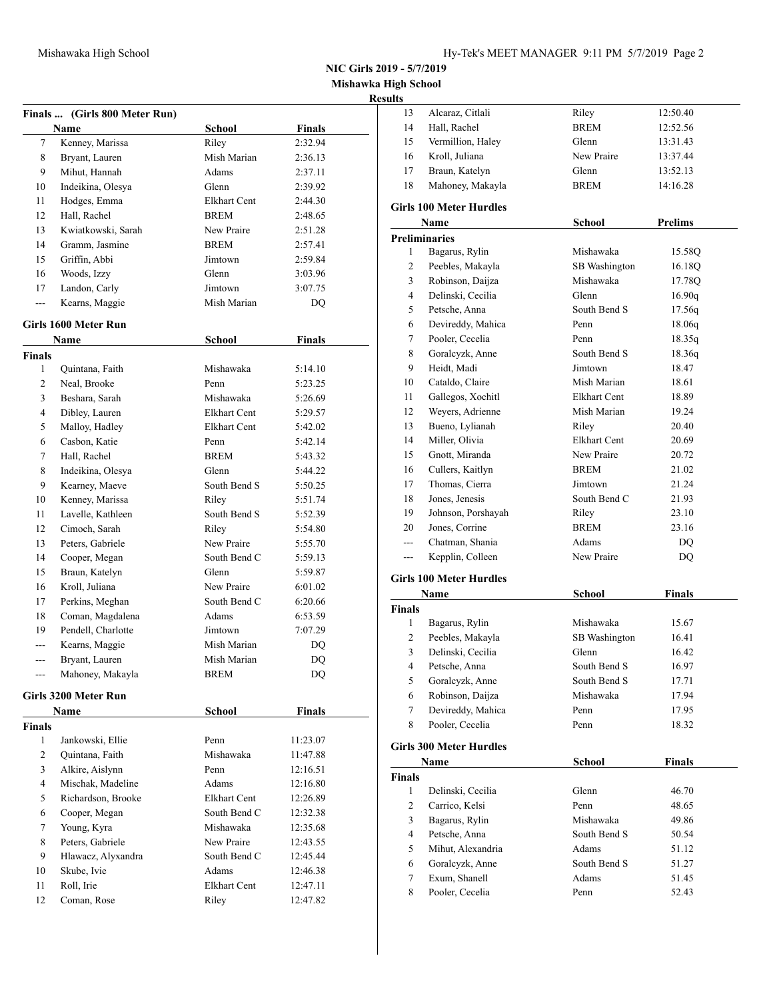**Mishawka High School**

|                | Finals  (Girls 800 Meter Run)<br>Name | School              | <b>Finals</b> |
|----------------|---------------------------------------|---------------------|---------------|
| 7              | Kenney, Marissa                       | Riley               | 2:32.94       |
| 8              | Bryant, Lauren                        | Mish Marian         | 2:36.13       |
| 9              | Mihut, Hannah                         | Adams               | 2:37.11       |
| 10             | Indeikina, Olesya                     | Glenn               | 2:39.92       |
| 11             | Hodges, Emma                          | Elkhart Cent        | 2:44.30       |
| 12             | Hall, Rachel                          | <b>BREM</b>         | 2:48.65       |
| 13             | Kwiatkowski, Sarah                    | New Praire          | 2:51.28       |
| 14             | Gramm, Jasmine                        | BREM                | 2:57.41       |
| 15             | Griffin, Abbi                         | Jimtown             | 2:59.84       |
| 16             | Woods, Izzy                           | Glenn               | 3:03.96       |
| 17             | Landon, Carly                         | Jimtown             | 3:07.75       |
| ---            | Kearns, Maggie                        | Mish Marian         | DQ            |
|                | Girls 1600 Meter Run                  |                     |               |
|                | Name                                  | School              | Finals        |
| <b>Finals</b>  |                                       |                     |               |
| 1              | Quintana, Faith                       | Mishawaka           | 5:14.10       |
| 2              | Neal, Brooke                          | Penn                | 5:23.25       |
| 3              | Beshara, Sarah                        | Mishawaka           | 5:26.69       |
| 4              | Dibley, Lauren                        | Elkhart Cent        | 5:29.57       |
| 5              | Malloy, Hadley                        | <b>Elkhart Cent</b> | 5:42.02       |
| 6              | Casbon, Katie                         | Penn                | 5:42.14       |
| 7              | Hall, Rachel                          | <b>BREM</b>         | 5:43.32       |
| 8              | Indeikina, Olesya                     | Glenn               | 5:44.22       |
| 9              | Kearney, Maeve                        | South Bend S        | 5:50.25       |
| 10             | Kenney, Marissa                       | Riley               | 5:51.74       |
| 11             | Lavelle, Kathleen                     | South Bend S        | 5:52.39       |
| 12             | Cimoch, Sarah                         | Riley               | 5:54.80       |
| 13             | Peters, Gabriele                      | New Praire          | 5:55.70       |
| 14             | Cooper, Megan                         | South Bend C        | 5:59.13       |
| 15             | Braun, Katelyn                        | Glenn               | 5:59.87       |
| 16             | Kroll, Juliana                        | New Praire          | 6:01.02       |
| 17             | Perkins, Meghan                       | South Bend C        | 6:20.66       |
| 18             | Coman, Magdalena                      | Adams               | 6:53.59       |
| 19             | Pendell, Charlotte                    | Jimtown             | 7:07.29       |
| $- - -$        | Kearns, Maggie                        | Mish Marian         | DQ            |
| ---            | Bryant, Lauren                        | Mish Marian         | DQ            |
| ---            | Mahoney, Makayla                      | BREM                | DQ            |
|                | Girls 3200 Meter Run                  |                     |               |
|                | <b>Name</b>                           | <b>School</b>       | <b>Finals</b> |
| <b>Finals</b>  |                                       |                     |               |
| 1              | Jankowski, Ellie                      | Penn                | 11:23.07      |
| 2              | Quintana, Faith                       | Mishawaka           | 11:47.88      |
| 3              | Alkire, Aislynn                       | Penn                | 12:16.51      |
| $\overline{4}$ | Mischak, Madeline                     | Adams               | 12:16.80      |
| 5              | Richardson, Brooke                    | Elkhart Cent        | 12:26.89      |
| 6              | Cooper, Megan                         | South Bend C        | 12:32.38      |
| $\tau$         | Young, Kyra                           | Mishawaka           | 12:35.68      |
| 8              | Peters, Gabriele                      | New Praire          | 12:43.55      |
| 9              | Hlawacz, Alyxandra                    | South Bend C        | 12:45.44      |
| 10             | Skube, Ivie                           | Adams               | 12:46.38      |
| 11             | Roll, Irie                            | <b>Elkhart Cent</b> | 12:47.11      |
| 12             | Coman, Rose                           | Riley               | 12:47.82      |
|                |                                       |                     |               |

| <b>Results</b>                |                                       |                     |                |
|-------------------------------|---------------------------------------|---------------------|----------------|
| 13                            | Alcaraz, Citlali                      | Riley               | 12:50.40       |
| 14                            | Hall, Rachel                          | <b>BREM</b>         | 12:52.56       |
| 15                            | Vermillion, Haley                     | Glenn               | 13:31.43       |
| 16                            | Kroll, Juliana                        | New Praire          | 13:37.44       |
| 17                            | Braun, Katelyn                        | Glenn               | 13:52.13       |
| 18                            | Mahoney, Makayla                      | <b>BREM</b>         | 14:16.28       |
|                               | <b>Girls 100 Meter Hurdles</b>        |                     |                |
|                               | Name                                  | School              | <b>Prelims</b> |
|                               | <b>Preliminaries</b>                  |                     |                |
| 1                             | Bagarus, Rylin                        | Mishawaka           | 15.58O         |
| 2                             | Peebles, Makayla                      | SB Washington       | 16.18Q         |
| 3                             | Robinson, Daijza                      | Mishawaka           | 17.78Q         |
| $\overline{4}$                | Delinski, Cecilia                     | Glenn               | 16.90q         |
| 5                             | Petsche, Anna                         | South Bend S        | 17.56q         |
| 6                             | Devireddy, Mahica                     | Penn                | 18.06q         |
| 7                             | Pooler, Cecelia                       | Penn                | 18.35q         |
| 8                             | Goralcyzk, Anne                       | South Bend S        | 18.36q         |
| 9                             | Heidt, Madi                           | Jimtown             | 18.47          |
| 10                            | Cataldo, Claire                       | Mish Marian         | 18.61          |
| 11                            | Gallegos, Xochitl                     | <b>Elkhart Cent</b> | 18.89          |
| 12                            | Weyers, Adrienne                      | Mish Marian         | 19.24          |
| 13                            | Bueno, Lylianah                       | Riley               | 20.40          |
| 14                            | Miller, Olivia                        | <b>Elkhart Cent</b> | 20.69          |
| 15                            | Gnott, Miranda                        | New Praire          | 20.72          |
| 16                            | Cullers, Kaitlyn                      | <b>BREM</b>         | 21.02          |
| 17                            | Thomas, Cierra                        | Jimtown             | 21.24          |
| 18                            | Jones, Jenesis                        | South Bend C        | 21.93          |
| 19                            | Johnson, Porshayah                    | Riley               | 23.10          |
| 20                            | Jones, Corrine                        | <b>BREM</b>         | 23.16          |
| $---$                         | Chatman, Shania                       | Adams               | DQ             |
| ---                           | Kepplin, Colleen                      | New Praire          | DQ             |
|                               |                                       |                     |                |
|                               | <b>Girls 100 Meter Hurdles</b>        |                     |                |
|                               | Name                                  |                     | <b>Finals</b>  |
| <b>Finals</b>                 |                                       | <b>School</b>       |                |
| 1                             | Bagarus, Rylin                        | Mishawaka           | 15.67          |
| 2                             |                                       | SB Washington       | 16.41          |
| 3                             | Peebles, Makayla<br>Delinski, Cecilia | Glenn               | 16.42          |
| 4                             | Petsche, Anna                         | South Bend S        | 16.97          |
| 5                             | Goralcyzk, Anne                       | South Bend S        | 17.71          |
| 6                             | Robinson, Daijza                      | Mishawaka           | 17.94          |
| $\tau$                        | Devireddy, Mahica                     | Penn                | 17.95          |
| 8                             | Pooler, Cecelia                       | Penn                | 18.32          |
|                               |                                       |                     |                |
|                               | <b>Girls 300 Meter Hurdles</b>        |                     | <b>Finals</b>  |
|                               | Name                                  | <b>School</b>       |                |
| <b>Finals</b><br>$\mathbf{1}$ | Delinski, Cecilia                     |                     |                |
|                               | Carrico, Kelsi                        | Glenn<br>Penn       | 46.70<br>48.65 |
| $\overline{c}$<br>3           |                                       | Mishawaka           |                |
| $\overline{4}$                | Bagarus, Rylin                        | South Bend S        | 49.86          |
| 5                             | Petsche, Anna                         | Adams               | 50.54<br>51.12 |
| 6                             | Mihut, Alexandria                     | South Bend S        |                |
| 7                             | Goralcyzk, Anne<br>Exum, Shanell      | Adams               | 51.27<br>51.45 |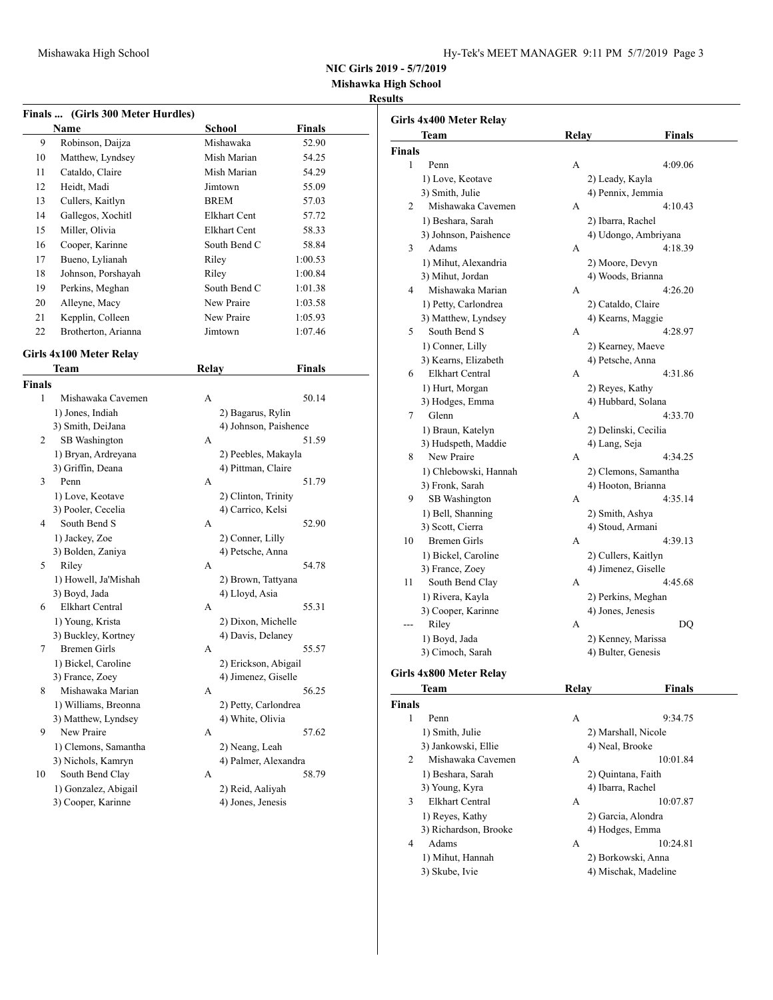| Hy-Tek's MEET MANAGER 9:11 PM 5/7/2019 Page 3 |  |  |  |
|-----------------------------------------------|--|--|--|
|-----------------------------------------------|--|--|--|

**Mishawka High School**

## **Results**

|               | <b>Name</b>             | Finals  (Girls 300 Meter Hurdles)<br>School | Finals        |      |
|---------------|-------------------------|---------------------------------------------|---------------|------|
| 9             | Robinson, Daijza        | Mishawaka                                   | 52.90         |      |
| 10            | Matthew, Lyndsey        | Mish Marian                                 | 54.25         | Fina |
| 11            | Cataldo, Claire         | Mish Marian                                 | 54.29         |      |
| 12            | Heidt, Madi             | Jimtown                                     | 55.09         |      |
|               |                         |                                             | 57.03         |      |
| 13            | Cullers, Kaitlyn        | <b>BREM</b>                                 |               |      |
| 14            | Gallegos, Xochitl       | <b>Elkhart Cent</b>                         | 57.72         |      |
| 15            | Miller, Olivia          | Elkhart Cent                                | 58.33         |      |
| 16            | Cooper, Karinne         | South Bend C                                | 58.84         |      |
| 17            | Bueno, Lylianah         | Riley                                       | 1:00.53       |      |
| 18            | Johnson, Porshayah      | Riley                                       | 1:00.84       |      |
| 19            | Perkins, Meghan         | South Bend C                                | 1:01.38       |      |
| 20            | Alleyne, Macy           | New Praire                                  | 1:03.58       |      |
| 21            | Kepplin, Colleen        | New Praire                                  | 1:05.93       |      |
| 22            | Brotherton, Arianna     | Jimtown                                     | 1:07.46       |      |
|               | Girls 4x100 Meter Relay |                                             |               |      |
|               | Team                    | <b>Relay</b>                                | <b>Finals</b> |      |
| <b>Finals</b> |                         |                                             |               |      |
| 1             | Mishawaka Cavemen       | A                                           | 50.14         |      |
|               | 1) Jones, Indiah        | 2) Bagarus, Rylin                           |               |      |
|               | 3) Smith, DeiJana       | 4) Johnson, Paishence                       |               |      |
| 2             | SB Washington           | A                                           | 51.59         |      |
|               | 1) Bryan, Ardreyana     | 2) Peebles, Makayla                         |               |      |
|               | 3) Griffin, Deana       | 4) Pittman, Claire                          |               |      |
| 3             | Penn                    | A                                           | 51.79         |      |
|               | 1) Love, Keotave        | 2) Clinton, Trinity                         |               |      |
|               | 3) Pooler, Cecelia      | 4) Carrico, Kelsi                           |               |      |
| 4             | South Bend S            | А                                           | 52.90         |      |
|               | 1) Jackey, Zoe          | 2) Conner, Lilly                            |               |      |
|               | 3) Bolden, Zaniya       | 4) Petsche, Anna                            |               |      |
| 5             | Riley                   | A                                           | 54.78         |      |
|               | 1) Howell, Ja'Mishah    | 2) Brown, Tattyana                          |               |      |
|               | 3) Boyd, Jada           | 4) Lloyd, Asia                              |               |      |
| 6             | <b>Elkhart Central</b>  | А                                           | 55.31         |      |
|               | 1) Young, Krista        | 2) Dixon, Michelle                          |               |      |
|               | 3) Buckley, Kortney     | 4) Davis, Delaney                           |               |      |
| 7             | <b>Bremen Girls</b>     | А                                           | 55.57         |      |
|               | 1) Bickel, Caroline     | 2) Erickson, Abigail                        |               |      |
|               | 3) France, Zoey         | 4) Jimenez, Giselle                         |               |      |
| 8             | Mishawaka Marian        | А                                           | 56.25         |      |
|               | 1) Williams, Breonna    | 2) Petty, Carlondrea                        |               | Fina |
|               | 3) Matthew, Lyndsey     | 4) White, Olivia                            |               |      |
| 9             | New Praire              | А                                           | 57.62         |      |
|               | 1) Clemons, Samantha    | 2) Neang, Leah                              |               |      |
|               | 3) Nichols, Kamryn      | 4) Palmer, Alexandra                        |               |      |
|               | South Bend Clay         | А                                           | 58.79         |      |
|               |                         |                                             |               |      |
| 10            | 1) Gonzalez, Abigail    | 2) Reid, Aaliyah                            |               |      |

|      | rls 4x400 Meter Relay  |                 |                      |  |
|------|------------------------|-----------------|----------------------|--|
|      | Team                   | <b>Relay</b>    | Finals               |  |
| ıals |                        |                 |                      |  |
| 1    | Penn                   | А               | 4:09.06              |  |
|      | 1) Love, Keotave       | 2) Leady, Kayla |                      |  |
|      | 3) Smith, Julie        |                 | 4) Pennix, Jemmia    |  |
| 2    | Mishawaka Cavemen      | А               | 4:10.43              |  |
|      | 1) Beshara, Sarah      |                 | 2) Ibarra, Rachel    |  |
|      | 3) Johnson, Paishence  |                 | 4) Udongo, Ambriyana |  |
| 3    | Adams                  | А               | 4:18.39              |  |
|      | 1) Mihut, Alexandria   |                 | 2) Moore, Devyn      |  |
|      | 3) Mihut, Jordan       |                 | 4) Woods, Brianna    |  |
| 4    | Mishawaka Marian       | А               | 4:26.20              |  |
|      | 1) Petty, Carlondrea   |                 | 2) Cataldo, Claire   |  |
|      | 3) Matthew, Lyndsey    |                 | 4) Kearns, Maggie    |  |
| 5    | South Bend S           | А               | 4:28.97              |  |
|      | 1) Conner, Lilly       |                 | 2) Kearney, Maeve    |  |
|      | 3) Kearns, Elizabeth   |                 | 4) Petsche, Anna     |  |
| 6    | <b>Elkhart Central</b> | А               | 4:31.86              |  |
|      | 1) Hurt, Morgan        | 2) Reyes, Kathy |                      |  |
|      | 3) Hodges, Emma        |                 | 4) Hubbard, Solana   |  |
| 7    | Glenn                  | А               | 4:33.70              |  |
|      | 1) Braun, Katelyn      |                 | 2) Delinski, Cecilia |  |
|      | 3) Hudspeth, Maddie    | 4) Lang, Seja   |                      |  |
| 8    | New Praire             | А               | 4:34.25              |  |
|      | 1) Chlebowski, Hannah  |                 | 2) Clemons, Samantha |  |
|      | 3) Fronk, Sarah        |                 | 4) Hooton, Brianna   |  |
| 9    | SB Washington          | А               | 4:35.14              |  |
|      | 1) Bell, Shanning      | 2) Smith, Ashya |                      |  |
|      | 3) Scott, Cierra       |                 | 4) Stoud, Armani     |  |
| 10   | <b>Bremen Girls</b>    | А               | 4:39.13              |  |
|      | 1) Bickel, Caroline    |                 | 2) Cullers, Kaitlyn  |  |
|      | 3) France, Zoey        |                 | 4) Jimenez, Giselle  |  |
| 11   | South Bend Clay        | А               | 4:45.68              |  |
|      | 1) Rivera, Kayla       |                 | 2) Perkins, Meghan   |  |
|      | 3) Cooper, Karinne     |                 | 4) Jones, Jenesis    |  |
| ---  | Riley                  | А               | DQ                   |  |
|      | 1) Boyd, Jada          |                 | 2) Kenney, Marissa   |  |
|      | 3) Cimoch, Sarah       |                 | 4) Bulter, Genesis   |  |
|      | rls 4x800 Meter Relay  |                 |                      |  |
|      | Team                   | Relay           | <b>Finals</b>        |  |
| ıals |                        |                 |                      |  |
| 1    | Penn                   | А               | 9:34.75              |  |
|      | 1) Smith, Julie        |                 | 2) Marshall, Nicole  |  |
|      | 3) Jankowski, Ellie    | 4) Neal, Brooke |                      |  |
| 2    | Mishawaka Cavemen      | А               | 10:01.84             |  |
|      | 1) Beshara, Sarah      |                 | 2) Quintana, Faith   |  |
|      |                        |                 |                      |  |

3) Young, Kyra 4) Ibarra, Rachel 3 Elkhart Central A 10:07.87 1) Reyes, Kathy 2) Garcia, Alondra 3) Richardson, Brooke 4 Adams A 10:24.81

1) Mihut, Hannah

| $27$ out the resident |
|-----------------------|
| 4) Hodges, Emma       |
| 10:24                 |
| 2) Borkowski, Anna    |

3) Skube, Ivie 4) Mischak, Madeline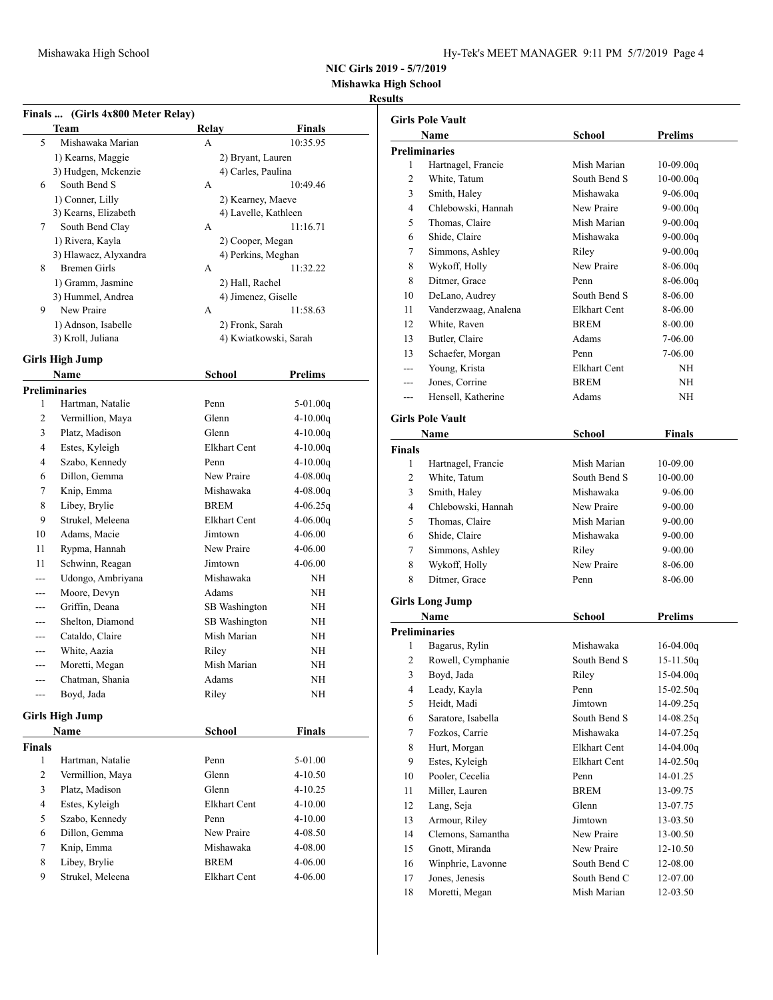**Mishawka High School**

#### **Results**

| Finals  (Girls 4x800 Meter Relay) |  |  |
|-----------------------------------|--|--|

| <b>Team</b>           | Relay              | <b>Finals</b>         |
|-----------------------|--------------------|-----------------------|
| 5<br>Mishawaka Marian | А                  | 10:35.95              |
| 1) Kearns, Maggie     | 2) Bryant, Lauren  |                       |
| 3) Hudgen, Mckenzie   | 4) Carles, Paulina |                       |
| South Bend S<br>6     | А                  | 10:49.46              |
| 1) Conner, Lilly      |                    | 2) Kearney, Maeve     |
| 3) Kearns, Elizabeth  |                    | 4) Lavelle, Kathleen  |
| 7<br>South Bend Clay  | A                  | 11:16.71              |
| 1) Rivera, Kayla      | 2) Cooper, Megan   |                       |
| 3) Hlawacz, Alyxandra |                    | 4) Perkins, Meghan    |
| 8<br>Bremen Girls     | A                  | 11:32.22              |
| 1) Gramm, Jasmine     | 2) Hall, Rachel    |                       |
| 3) Hummel, Andrea     |                    | 4) Jimenez, Giselle   |
| 9<br>New Praire       | A                  | 11:58.63              |
| 1) Adnson, Isabelle   | 2) Fronk, Sarah    |                       |
| 3) Kroll, Juliana     |                    | 4) Kwiatkowski, Sarah |
|                       |                    |                       |

### **Girls High Jump**

| Name          |                        | <b>School</b>       | <b>Prelims</b> |  |
|---------------|------------------------|---------------------|----------------|--|
|               | <b>Preliminaries</b>   |                     |                |  |
| 1             | Hartman, Natalie       | Penn                | $5-01.00q$     |  |
| 2             | Vermillion, Maya       | Glenn               | $4 - 10.00q$   |  |
| 3             | Platz, Madison         | Glenn               | $4 - 10.00q$   |  |
| 4             | Estes, Kyleigh         | <b>Elkhart Cent</b> | $4 - 10.00q$   |  |
| 4             | Szabo, Kennedy         | Penn                | $4 - 10.00q$   |  |
| 6             | Dillon, Gemma          | New Praire          | $4 - 08.00q$   |  |
| 7             | Knip, Emma             | Mishawaka           | $4-08.00q$     |  |
| 8             | Libey, Brylie          | <b>BREM</b>         | $4-06.25q$     |  |
| 9             | Strukel, Meleena       | Elkhart Cent        | $4 - 06.00q$   |  |
| 10            | Adams, Macie           | Jimtown             | 4-06.00        |  |
| 11            | Rypma, Hannah          | New Praire          | 4-06.00        |  |
| 11            | Schwinn, Reagan        | Jimtown             | 4-06.00        |  |
|               | Udongo, Ambriyana      | Mishawaka           | <b>NH</b>      |  |
|               | Moore, Devyn           | Adams               | <b>NH</b>      |  |
|               | Griffin, Deana         | SB Washington       | <b>NH</b>      |  |
|               | Shelton, Diamond       | SB Washington       | <b>NH</b>      |  |
|               | Cataldo, Claire        | Mish Marian         | <b>NH</b>      |  |
|               | White, Aazia           | Riley               | <b>NH</b>      |  |
|               | Moretti, Megan         | Mish Marian         | <b>NH</b>      |  |
| ---           | Chatman, Shania        | Adams               | <b>NH</b>      |  |
|               | Boyd, Jada             | Riley               | <b>NH</b>      |  |
|               | <b>Girls High Jump</b> |                     |                |  |
|               | <b>Name</b>            | <b>School</b>       | <b>Finals</b>  |  |
| <b>Finals</b> |                        |                     |                |  |
| 1             | Hartman, Natalie       | Penn                | 5-01.00        |  |
| $\sim$        | $X_L$ $111.$ $X_L$     | $\sim$ 1 $\sim$     | 4.10.50        |  |

| nals |                  |              |             |
|------|------------------|--------------|-------------|
| 1    | Hartman, Natalie | Penn         | 5-01.00     |
| 2    | Vermillion, Maya | Glenn        | $4 - 10.50$ |
| 3    | Platz, Madison   | Glenn        | $4 - 10.25$ |
| 4    | Estes, Kyleigh   | Elkhart Cent | $4 - 10.00$ |
| 5    | Szabo, Kennedy   | Penn         | $4 - 10.00$ |
| 6    | Dillon, Gemma    | New Praire   | 4-08.50     |
| 7    | Knip, Emma       | Mishawaka    | 4-08.00     |
| 8    | Libey, Brylie    | <b>BREM</b>  | $4 - 06.00$ |
| 9    | Strukel, Meleena | Elkhart Cent | $4 - 06.00$ |

|               | <b>Girls Pole Vault</b> |              |                |
|---------------|-------------------------|--------------|----------------|
|               | <b>Name</b>             | School       | <b>Prelims</b> |
|               | <b>Preliminaries</b>    |              |                |
| 1             | Hartnagel, Francie      | Mish Marian  | $10-09.00q$    |
| 2             | White, Tatum            | South Bend S | $10-00.00q$    |
| 3             | Smith, Haley            | Mishawaka    | $9-06.00q$     |
| 4             | Chlebowski, Hannah      | New Praire   | $9-00.00q$     |
| 5             | Thomas, Claire          | Mish Marian  | 9-00.00q       |
| 6             | Shide, Claire           | Mishawaka    | 9-00.00q       |
| 7             | Simmons, Ashley         | Riley        | 9-00.00q       |
| 8             | Wykoff, Holly           | New Praire   | $8-06.00q$     |
| 8             | Ditmer, Grace           | Penn         | 8-06.00q       |
| 10            | DeLano, Audrey          | South Bend S | 8-06.00        |
| 11            | Vanderzwaag, Analena    | Elkhart Cent | 8-06.00        |
| 12            | White, Raven            | BREM         | 8-00.00        |
| 13            | Butler, Claire          | Adams        | 7-06.00        |
| 13            | Schaefer, Morgan        | Penn         | 7-06.00        |
| $---$         | Young, Krista           | Elkhart Cent | NH             |
|               | Jones, Corrine          | <b>BREM</b>  | NH             |
| ---           | Hensell, Katherine      | Adams        | ΝH             |
|               |                         |              |                |
|               | <b>Girls Pole Vault</b> |              |                |
|               | Name                    | School       | <b>Finals</b>  |
| <b>Finals</b> |                         |              |                |
| 1             | Hartnagel, Francie      | Mish Marian  | 10-09.00       |
| 2             | White, Tatum            | South Bend S | 10-00.00       |
| 3             | Smith, Haley            | Mishawaka    | 9-06.00        |
| 4             | Chlebowski, Hannah      | New Praire   | 9-00.00        |
| 5             | Thomas, Claire          | Mish Marian  | 9-00.00        |
| 6             | Shide, Claire           | Mishawaka    | 9-00.00        |
| 7             | Simmons, Ashley         | Riley        | 9-00.00        |
| 8             | Wykoff, Holly           | New Praire   | 8-06.00        |
| 8             | Ditmer, Grace           | Penn         | 8-06.00        |
|               | <b>Girls Long Jump</b>  |              |                |
|               | <b>Name</b>             | School       | <b>Prelims</b> |
|               | <b>Preliminaries</b>    |              |                |
| 1             | Bagarus, Rylin          | Mishawaka    | $16-04.00q$    |
| 2             | Rowell, Cymphanie       | South Bend S | $15 - 11.50q$  |
| 3             | Boyd, Jada              | Rilev        | $15-04.00q$    |
| 4             | Leady, Kayla            | Penn         | $15-02.50q$    |
| 5             | Heidt, Madi             | Jimtown      | 14-09.25q      |
| 6             | Saratore, Isabella      | South Bend S | 14-08.25q      |
| 7             | Fozkos, Carrie          | Mishawaka    | 14-07.25q      |
| 8             | Hurt, Morgan            | Elkhart Cent | $14-04.00q$    |
| 9             | Estes, Kyleigh          | Elkhart Cent | $14-02.50q$    |
| 10            | Pooler, Cecelia         | Penn         | 14-01.25       |
| 11            | Miller, Lauren          | <b>BREM</b>  | 13-09.75       |
| 12            | Lang, Seja              | Glenn        | 13-07.75       |
| 13            | Armour, Riley           | Jimtown      | 13-03.50       |
| 14            | Clemons, Samantha       | New Praire   | 13-00.50       |
| 15            | Gnott, Miranda          | New Praire   | 12-10.50       |
| 16            | Winphrie, Lavonne       | South Bend C | 12-08.00       |
| 17            | Jones, Jenesis          | South Bend C | 12-07.00       |
| 18            | Moretti, Megan          | Mish Marian  | 12-03.50       |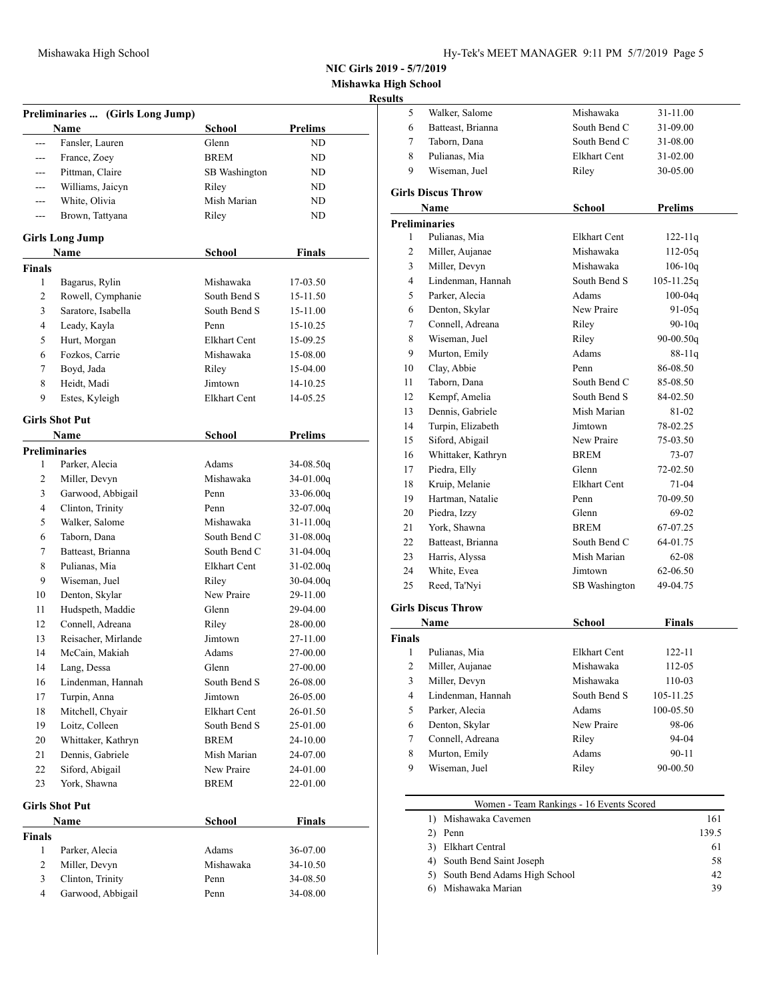**Mishawka High School**

## **Result**

|                | Preliminaries  (Girls Long Jump) |                     |                |
|----------------|----------------------------------|---------------------|----------------|
|                | Name                             | <b>School</b>       | <b>Prelims</b> |
| $\overline{a}$ | Fansler, Lauren                  | Glenn               | ND             |
| ---            | France, Zoey                     | <b>BREM</b>         | ND             |
|                | Pittman, Claire                  | SB Washington       | ND             |
| $-$            | Williams, Jaicyn                 | Riley               | ND             |
| ---            | White, Olivia                    | Mish Marian         | ND             |
| $---$          | Brown, Tattyana                  | Riley               | ND             |
|                |                                  |                     |                |
|                | <b>Girls Long Jump</b>           |                     |                |
|                | Name                             | School              | Finals         |
| <b>Finals</b>  |                                  |                     |                |
| 1              | Bagarus, Rylin                   | Mishawaka           | 17-03.50       |
| 2              | Rowell, Cymphanie                | South Bend S        | 15-11.50       |
| 3              | Saratore, Isabella               | South Bend S        | 15-11.00       |
| 4              | Leady, Kayla                     | Penn                | 15-10.25       |
| 5              | Hurt, Morgan                     | Elkhart Cent        | 15-09.25       |
| 6              | Fozkos, Carrie                   | Mishawaka           | 15-08.00       |
| 7              | Boyd, Jada                       | Riley               | 15-04.00       |
| 8              | Heidt, Madi                      | Jimtown             | 14-10.25       |
| 9              | Estes, Kyleigh                   | Elkhart Cent        | 14-05.25       |
|                | <b>Girls Shot Put</b>            |                     |                |
|                | Name                             | <b>School</b>       | <b>Prelims</b> |
|                | <b>Preliminaries</b>             |                     |                |
| 1              | Parker, Alecia                   | Adams               | 34-08.50q      |
| 2              | Miller, Devyn                    | Mishawaka           | 34-01.00q      |
| 3              | Garwood, Abbigail                | Penn                | 33-06.00q      |
| 4              | Clinton, Trinity                 | Penn                | 32-07.00q      |
| 5              | Walker, Salome                   | Mishawaka           | $31 - 11.00q$  |
| 6              | Taborn, Dana                     | South Bend C        | $31 - 08.00q$  |
| 7              | Batteast, Brianna                | South Bend C        | 31-04.00q      |
| 8              | Pulianas, Mia                    | <b>Elkhart Cent</b> | 31-02.00q      |
| 9              | Wiseman, Juel                    | Riley               | $30-04.00q$    |
| 10             | Denton, Skylar                   | New Praire          | 29-11.00       |
| 11             | Hudspeth, Maddie                 | Glenn               | 29-04.00       |
| 12             | Connell, Adreana                 | Riley               | 28-00.00       |
| 13             | Reisacher, Mirlande              | Jimtown             | 27-11.00       |
| 14             | McCain, Makiah                   | Adams               | 27-00.00       |
| 14             | Lang, Dessa                      | Glenn               | 27-00.00       |
| 16             | Lindenman, Hannah                | South Bend S        | 26-08.00       |
| 17             | Turpin, Anna                     | Jimtown             | 26-05.00       |
| 18             | Mitchell, Chyair                 | Elkhart Cent        | 26-01.50       |
| 19             | Loitz, Colleen                   | South Bend S        | 25-01.00       |
| 20             | Whittaker, Kathryn               | <b>BREM</b>         | 24-10.00       |
| 21             | Dennis, Gabriele                 | Mish Marian         | 24-07.00       |
| 22             | Siford, Abigail                  | New Praire          | 24-01.00       |
| 23             | York, Shawna                     | <b>BREM</b>         | 22-01.00       |
|                |                                  |                     |                |
|                | <b>Girls Shot Put</b>            |                     |                |
|                | Name                             | <b>School</b>       | <b>Finals</b>  |
| <b>Finals</b>  |                                  |                     |                |
| 1              | Parker, Alecia                   | Adams               | 36-07.00       |
| 2              | Miller, Devyn                    | Mishawaka           | 34-10.50       |
| 3              | Clinton, Trinity                 | Penn                | 34-08.50       |
| 4              | Garwood, Abbigail                | Penn                | 34-08.00       |

| ults          |                                 |                                          |                |       |
|---------------|---------------------------------|------------------------------------------|----------------|-------|
| 5             | Walker, Salome                  | Mishawaka                                | 31-11.00       |       |
| 6             | Batteast, Brianna               | South Bend C                             | 31-09.00       |       |
| 7             | Taborn, Dana                    | South Bend C                             | 31-08.00       |       |
| 8             | Pulianas, Mia                   | <b>Elkhart Cent</b>                      | 31-02.00       |       |
| 9             | Wiseman, Juel                   | Riley                                    | 30-05.00       |       |
|               | <b>Girls Discus Throw</b>       |                                          |                |       |
|               | Name                            | <b>School</b>                            | <b>Prelims</b> |       |
|               | <b>Preliminaries</b>            |                                          |                |       |
| 1             | Pulianas, Mia                   | Elkhart Cent                             | $122 - 11q$    |       |
| 2             | Miller, Aujanae                 | Mishawaka                                | $112 - 05q$    |       |
| 3             | Miller, Devyn                   | Mishawaka                                | $106 - 10q$    |       |
| 4             | Lindenman, Hannah               | South Bend S                             | $105 - 11.25q$ |       |
| 5             | Parker, Alecia                  | Adams                                    | $100 - 04q$    |       |
| 6             | Denton, Skylar                  | New Praire                               | 91-05q         |       |
| 7             | Connell, Adreana                | Riley                                    | $90 - 10q$     |       |
| 8             | Wiseman, Juel                   | Riley                                    | 90-00.50q      |       |
| 9             | Murton, Emily                   | Adams                                    | 88-11q         |       |
| 10            | Clay, Abbie                     | Penn                                     | 86-08.50       |       |
| 11            | Taborn, Dana                    | South Bend C                             | 85-08.50       |       |
| 12            | Kempf, Amelia                   | South Bend S                             | 84-02.50       |       |
| 13            | Dennis, Gabriele                | Mish Marian                              | 81-02          |       |
| 14            | Turpin, Elizabeth               | Jimtown                                  | 78-02.25       |       |
| 15            | Siford, Abigail                 | New Praire                               | 75-03.50       |       |
| 16            | Whittaker, Kathryn              | <b>BREM</b>                              | 73-07          |       |
| 17            | Piedra, Elly                    | Glenn                                    | 72-02.50       |       |
| 18            | Kruip, Melanie                  | <b>Elkhart Cent</b>                      | 71-04          |       |
| 19            | Hartman, Natalie                | Penn                                     | 70-09.50       |       |
| 20            | Piedra, Izzy                    | Glenn                                    | 69-02          |       |
| 21            | York, Shawna                    | <b>BREM</b>                              | 67-07.25       |       |
| 22            | Batteast, Brianna               | South Bend C                             | 64-01.75       |       |
| 23            | Harris, Alyssa                  | Mish Marian                              | $62 - 08$      |       |
| 24            | White, Evea                     | Jimtown                                  | 62-06.50       |       |
| 25            | Reed, Ta'Nyi                    | SB Washington                            | 49-04.75       |       |
|               | <b>Girls Discus Throw</b>       |                                          |                |       |
|               | Name                            | School                                   | Finals         |       |
| <b>Finals</b> |                                 |                                          |                |       |
| 1             | Pulianas, Mia                   | Elkhart Cent                             | 122-11         |       |
| 2             | Miller, Aujanae                 | Mishawaka                                | 112-05         |       |
| 3             | Miller, Devyn                   | Mishawaka                                | 110-03         |       |
| 4             | Lindenman, Hannah               | South Bend S                             | 105-11.25      |       |
| 5             | Parker, Alecia                  | Adams                                    | 100-05.50      |       |
| 6             | Denton, Skylar                  | New Praire                               | 98-06          |       |
| 7             | Connell, Adreana                | Riley                                    | 94-04          |       |
| 8             | Murton, Emily                   | Adams                                    | 90-11          |       |
| 9             | Wiseman, Juel                   | Riley                                    | 90-00.50       |       |
|               |                                 |                                          |                |       |
|               | 1) Mishawaka Cavemen            | Women - Team Rankings - 16 Events Scored |                | 161   |
|               |                                 |                                          |                | 139.5 |
|               | 2) Penn<br>3) Elkhart Central   |                                          |                | 61    |
|               | 4) South Bend Saint Joseph      |                                          |                | 58    |
|               | 5) South Bend Adams High School |                                          |                | 42    |
|               |                                 |                                          |                |       |

6) Mishawaka Marian 39